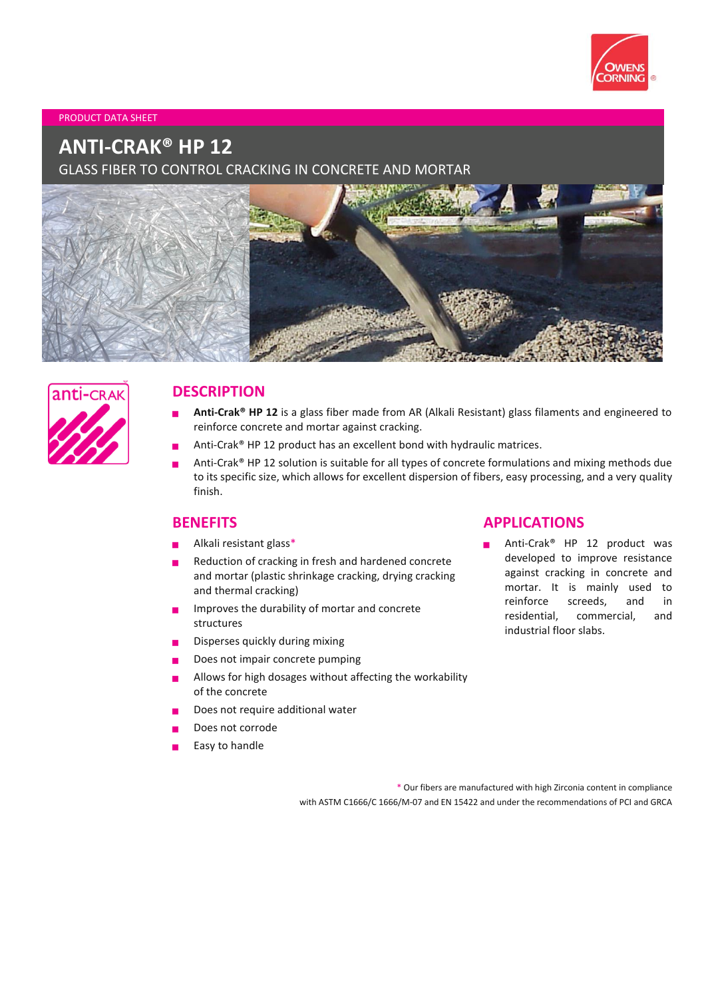

#### PRODUCT DATA SHEET

# **ANTI-CRAK® HP 12**

GLASS FIBER TO CONTROL CRACKING IN CONCRETE AND MORTAR





# **DESCRIPTION**

- **Anti-Crak® HP 12** is a glass fiber made from AR (Alkali Resistant) glass filaments and engineered to reinforce concrete and mortar against cracking.
- Anti-Crak® HP 12 product has an excellent bond with hydraulic matrices.
- Anti-Crak® HP 12 solution is suitable for all types of concrete formulations and mixing methods due to its specific size, which allows for excellent dispersion of fibers, easy processing, and a very quality finish.

### **BENEFITS**

- Alkali resistant glass\*
- Reduction of cracking in fresh and hardened concrete and mortar (plastic shrinkage cracking, drying cracking and thermal cracking)
- Improves the durability of mortar and concrete structures
- Disperses quickly during mixing
- Does not impair concrete pumping
- Allows for high dosages without affecting the workability of the concrete
- Does not require additional water
- Does not corrode
- Easy to handle

# **APPLICATIONS**

 Anti-Crak® HP 12 product was developed to improve resistance against cracking in concrete and mortar. It is mainly used to reinforce screeds, and in residential, commercial, and industrial floor slabs.

\* Our fibers are manufactured with high Zirconia content in compliance with ASTM C1666/C 1666/M-07 and EN 15422 and under the recommendations of PCI and GRCA